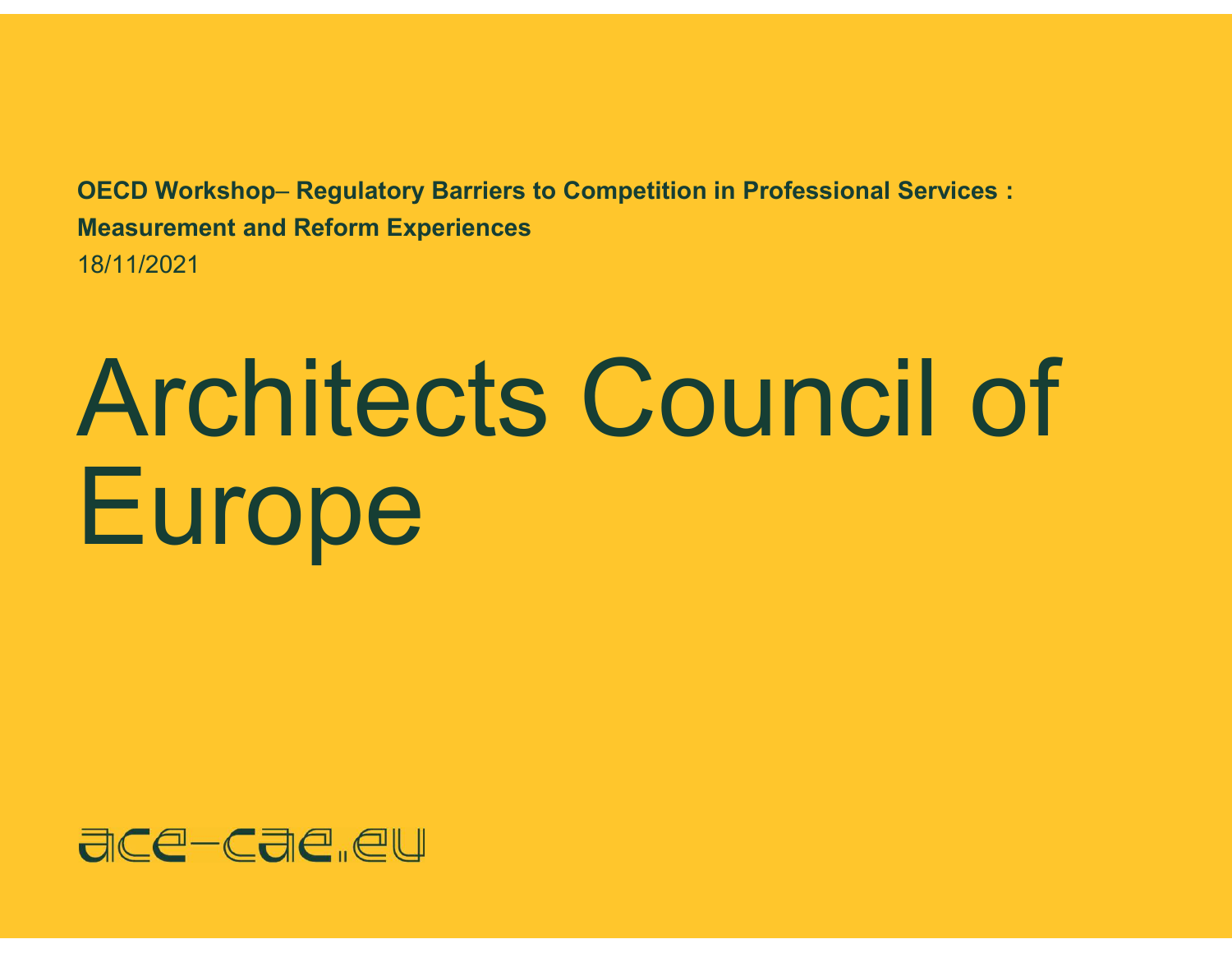OECD Workshop– Regulatory Barriers to Competition in Professional Services : Measurement and Reform Experiences 18/11/2021

## Architects Council of **Europe**

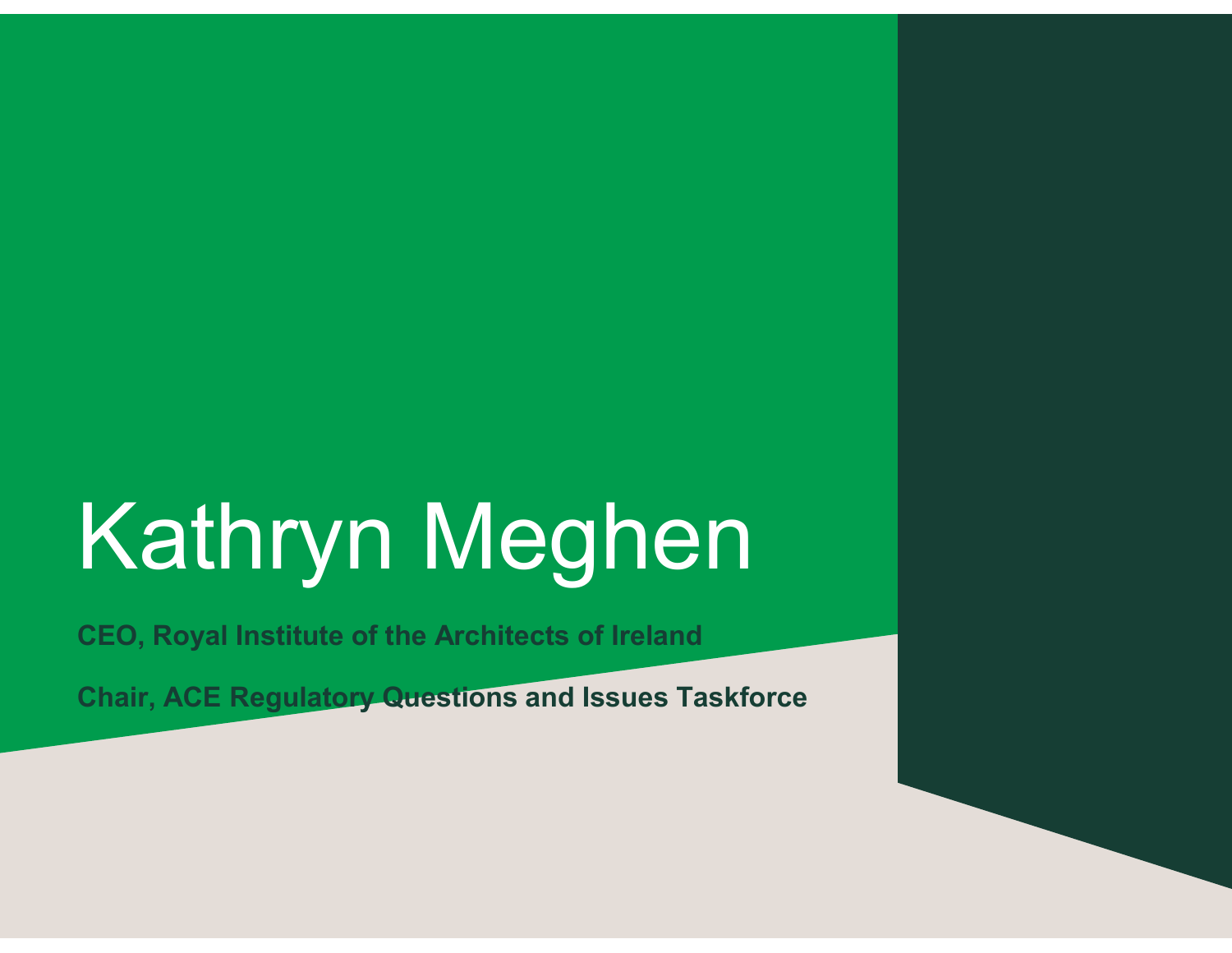### Kathryn Meghen

CEO, Royal Institute of the Architects of Ireland

Chair, ACE Regulatory Questions and Issues Taskforce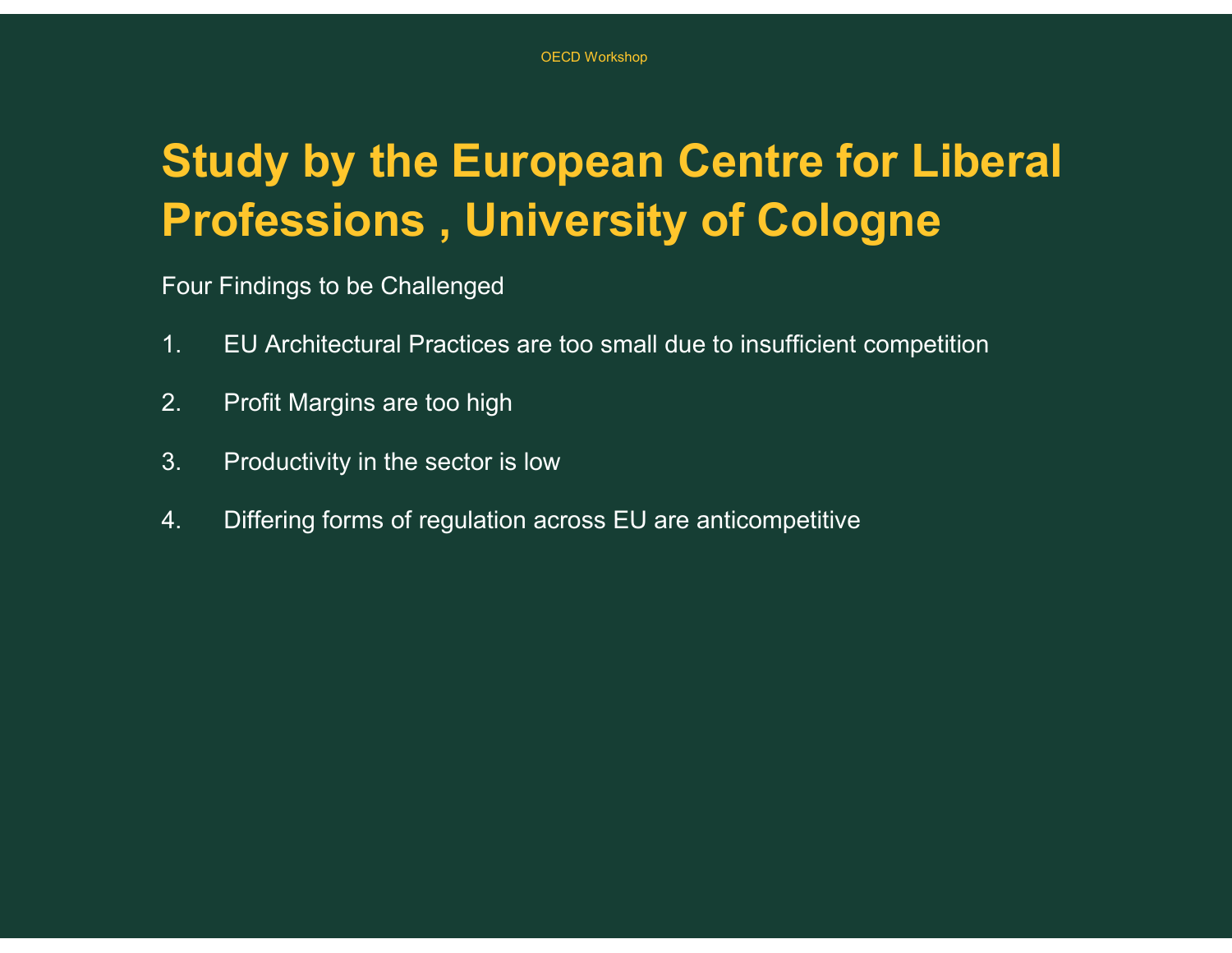## Study by the European Centre for Liberal Professions , University of Cologne <sup>OECD WORKSON</sup><br>1. **Carl Mark Professions , University of Cologne<br>1. EU Architectural Practices are too small due to insufficient competition<br>2. Profit Margins are too high** <sup>OECD Workshop</sup><br> **2. Professions** , **University of**<br>
Four Findings to be Challenged<br>
1. EU Architectural Practices are too small due to<br>
2. Profit Margins are too high<br>
3. Productivity in the sector is low **Study by the European Centre for<br>Professions, University of Cologn**<br>Four Findings to be Challenged<br>1. EU Architectural Practices are too small due to insufficient com<br>2. Profit Margins are too high<br>3. Productivity in the **Study by the European Centre for Liberal<br>
Professions , University of Cologne**<br>
Four Findings to be Challenged<br>
1. EU Architectural Practices are too small due to insufficient competition<br>
2. Profit Margins are too high<br>

Four Findings to be Challenged

- 
- 
- 
-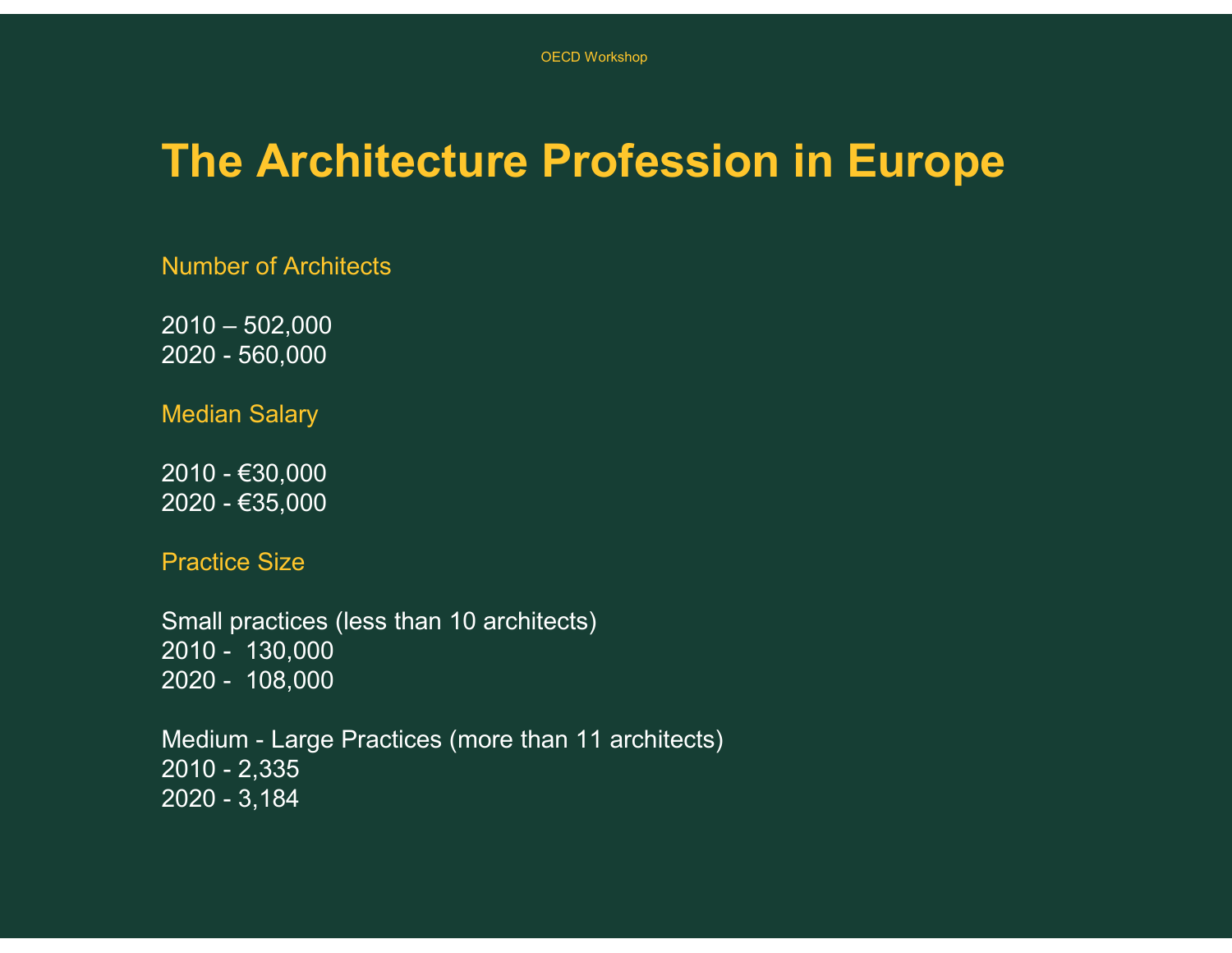# The Architecture Profession in Europe OECD Workshop<br> **2010 – 502,000**<br>
Number of Architects<br>
2010 – 502,000<br>
2020 - 560,000<br>
Median Salary OECD Workshop<br> **2020 - 502,000**<br>
Number of Architects<br>
2010 – 502,000<br>
2020 - 560,000<br>
Median Salary The Architecture Professio<br>
Number of Architects<br>2010 – 502,000<br>2020 - 560,000<br>Median Salary<br>2010 - €30,000<br>2020 - €35,000<br>Practice Size The Architecture Professio<br>
Number of Architects<br>2010 – 502,000<br>2020 - 560,000<br>Median Salary<br>2010 - €30,000<br>2020 - €35,000<br>Practice Size

Number of Architects

Median Salary

Practice Size

Small practices (less than 10 architects) Number of Architects<br>2010 - 502,000<br>2020 - 560,000<br>Median Salary<br>2010 - €30,000<br>2020 - €35,000<br>Practice Size<br>Small practices (less than 10 architects)<br>2010 - 130,000<br>2020 - 108,000<br>Medium - Large Practices (more than 11 a 2010 - 502,000<br>2020 - 560,000<br>Median Salary<br>2010 - €30,000<br>2020 - €35,000<br>Practice Size<br>Small practices (less than 10 architects)<br>2010 - 130,000<br>Medium - Large Practices (more than 11 architects)<br>2010 - 2,335

2020 - 560,000<br>Median Salary<br>2010 - €30,000<br>2020 - €35,000<br>Practice Size<br>Small practices (less than 10 architects)<br>2010 - 130,000<br>Medium - Large Practices (more than 11 architects)<br>2010 - 2,335<br>2020 - 3,184 Median Salary<br>
2010 - €30,000<br>
2020 - €35,000<br>
Practice Size<br>
Small practices (less than 10 architects)<br>
2010 - 130,000<br>
Medium - Large Practices (more than 11 architects)<br>
2010 - 2,335<br>
2020 - 3,184 Median Salary<br>2010 - €30,000<br>2020 - €35,000<br>Practice Size<br>Small practices (less than 10 architects)<br>2010 - 130,000<br>Medium - Large Practices (more than 11 architects)<br>2010 - 2,335<br>2020 - 3,184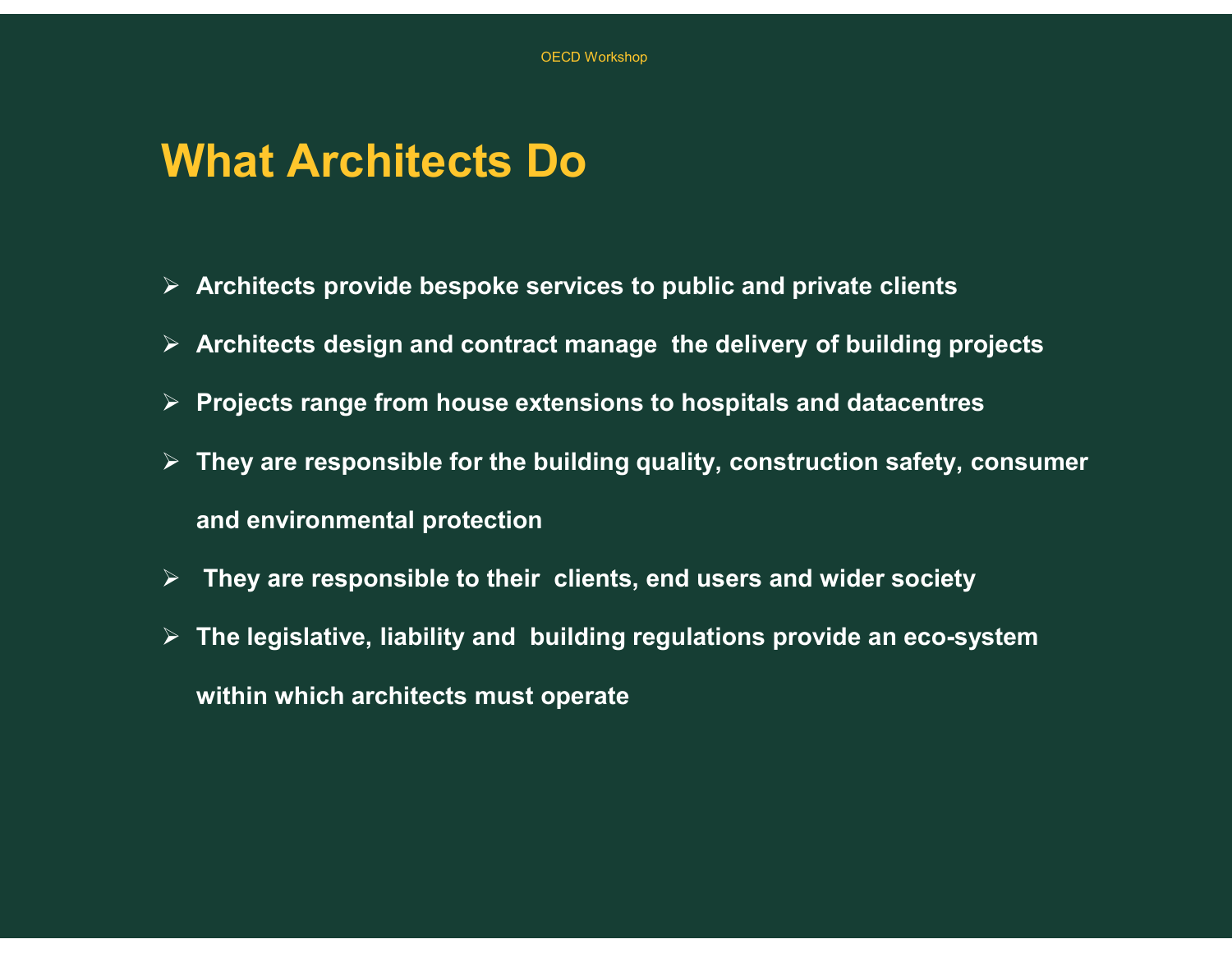#### What Architects Do

- $\triangleright$  Architects provide bespoke services to public and private clients
- $\triangleright$  Architects design and contract manage the delivery of building projects
- $\triangleright$  Projects range from house extensions to hospitals and datacentres
- $\triangleright$  They are responsible for the building quality, construction safety, consumer and environmental protection
- $\triangleright$  They are responsible to their clients, end users and wider society
- $\triangleright$  The legislative, liability and building regulations provide an eco-system within which architects must operate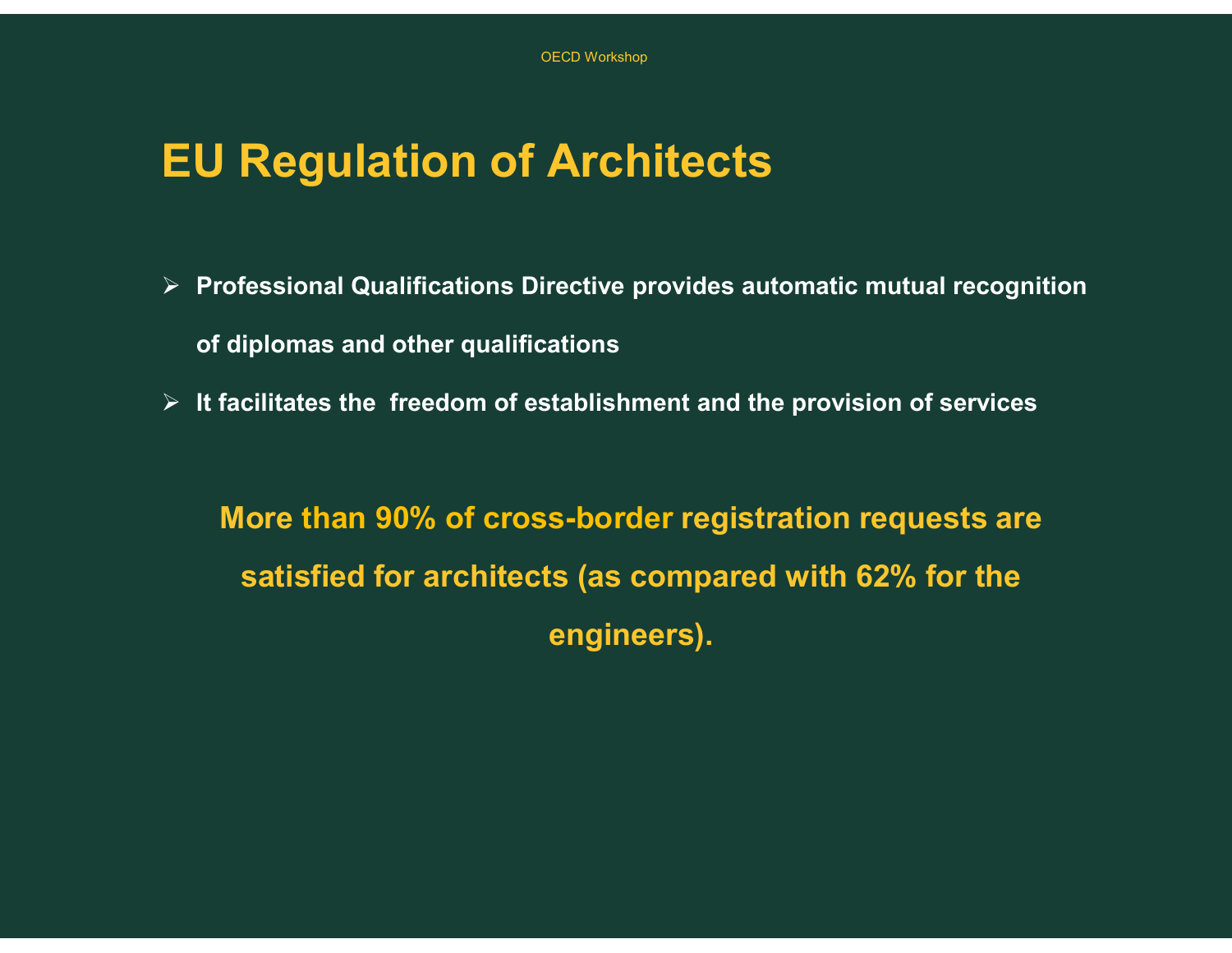#### EU Regulation of Architects

- $\triangleright$  Professional Qualifications Directive provides automatic mutual recognition OECD Workshop<br>**U Regulation of Architects**<br>Professional Qualifications Directive provides at<br>of diplomas and other qualifications<br>It facilitates the freedom of establishment and th
- $\triangleright$  It facilitates the freedom of establishment and the provision of services

More than 90% of cross-border registration requests are satisfied for architects (as compared with 62% for the engineers).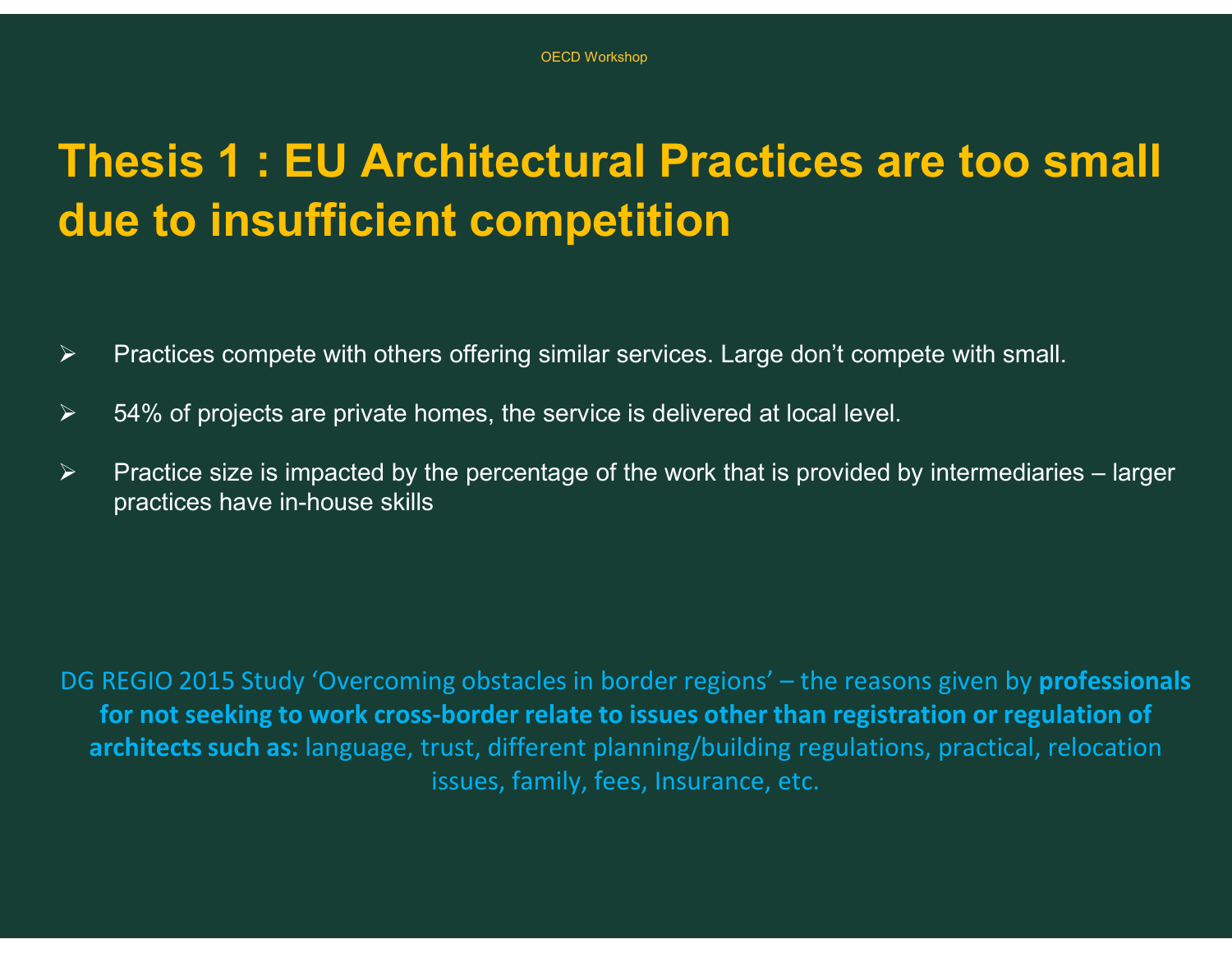# Thesis 1 : EU Architectural Practices are too small due to insufficient competition Thesis 1 : EU Architectural Practices are too small<br>due to insufficient competition<br>
> Practices compete with others offering similar services. Large don't compete with small.<br>
> 54% of projects are private homes, the serv

- $\triangleright$  Practices compete with others offering similar services. Large don't compete with small.
- $\geq$  54% of projects are private homes, the service is delivered at local level.
- practices have in-house skills

<table>\n<tbody>\n<tr>\n<th>Practices compete with others offering similar services. Large don't compete with small.</th>\n</tr>\n<tr>\n<th>▶</th>\n<th>Practices size is impacted by the percentage of the work that is provided by intermediaries – larger practices have in-house skills.</th>\n</tr>\n<tr>\n<th>DE REGIO 2015 Study 'Overcoming obstacles in border regions' – the reasons given by professionals for not seeking to work cross-border relate to issues other than registration or regulation of architectures such as: language, trust, different planning/building regulations, practical, relocation issues, family, fees, Insurance, etc.</th>\n</tr>\n</tbody>\n</table> for not seeking to work cross-border relate to issues other than registration or regulation of architects such as: language, trust, different planning/building regulations, practical, relocation issues, family, fees, Insurance, etc.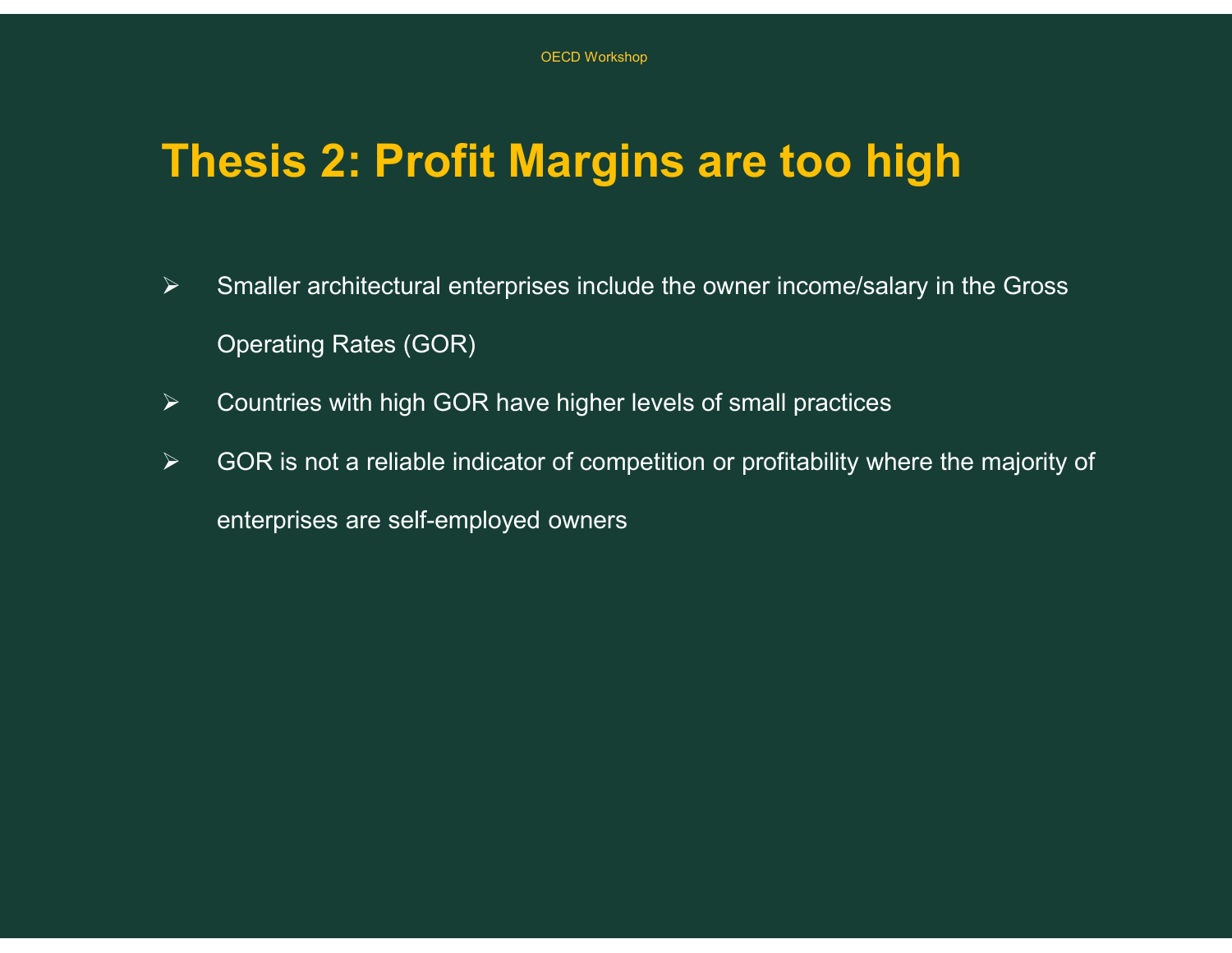#### Thesis 2: Profit Margins are too high

- $\triangleright$  Smaller architectural enterprises include the owner income/salary in the Gross Operating Rates (GOR)
- $\triangleright$  Countries with high GOR have higher levels of small practices
- $\triangleright$  GOR is not a reliable indicator of competition or profitability where the majority of enterprises are self-employed owners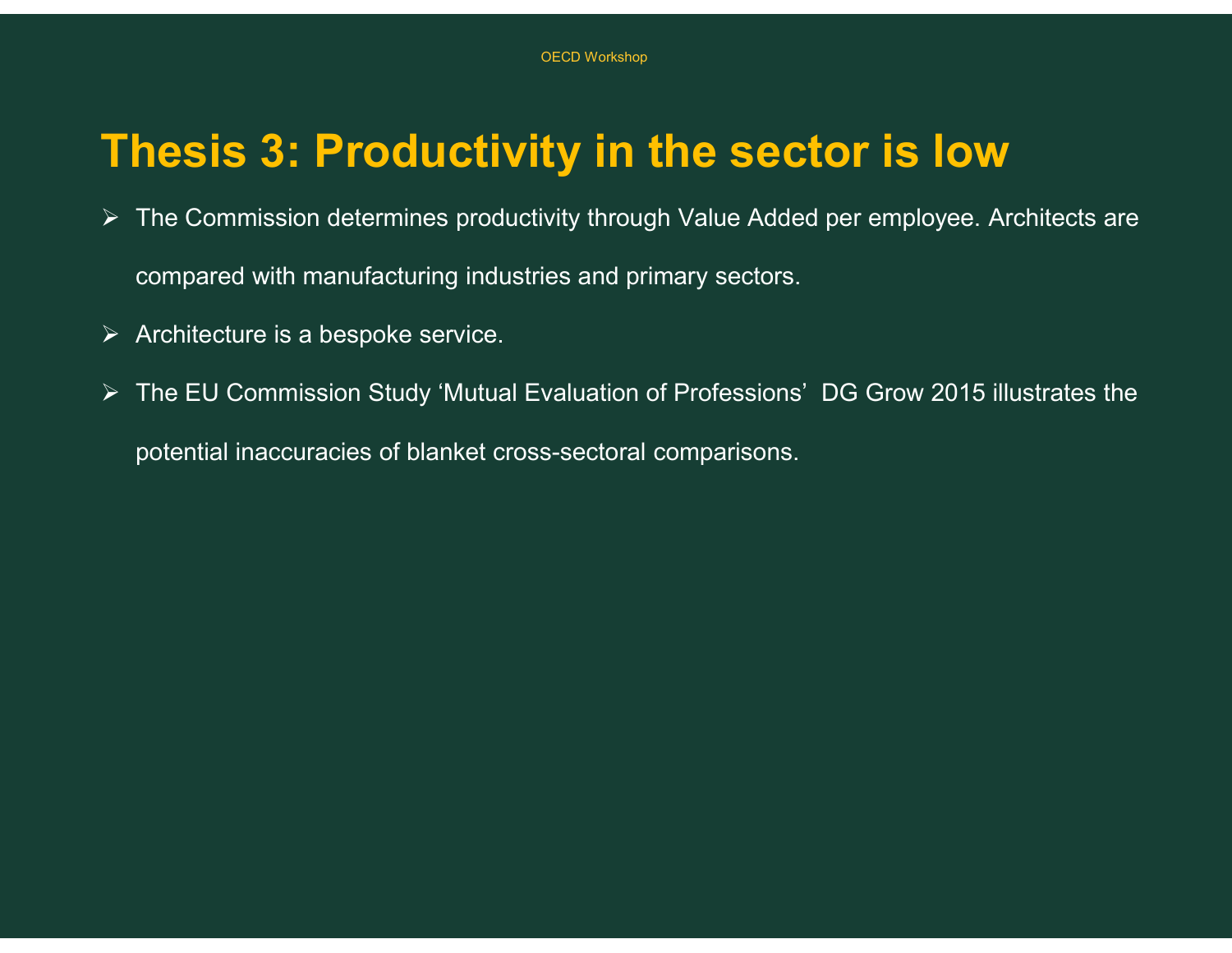#### Thesis 3: Productivity in the sector is low

- $\triangleright$  The Commission determines productivity through Value Added per employee. Architects are compared with manufacturing industries and primary sectors.
- $\triangleright$  Architecture is a bespoke service.
- The EU Commission Study 'Mutual Evaluation of Professions' DG Grow 2015 illustrates the

potential inaccuracies of blanket cross-sectoral comparisons.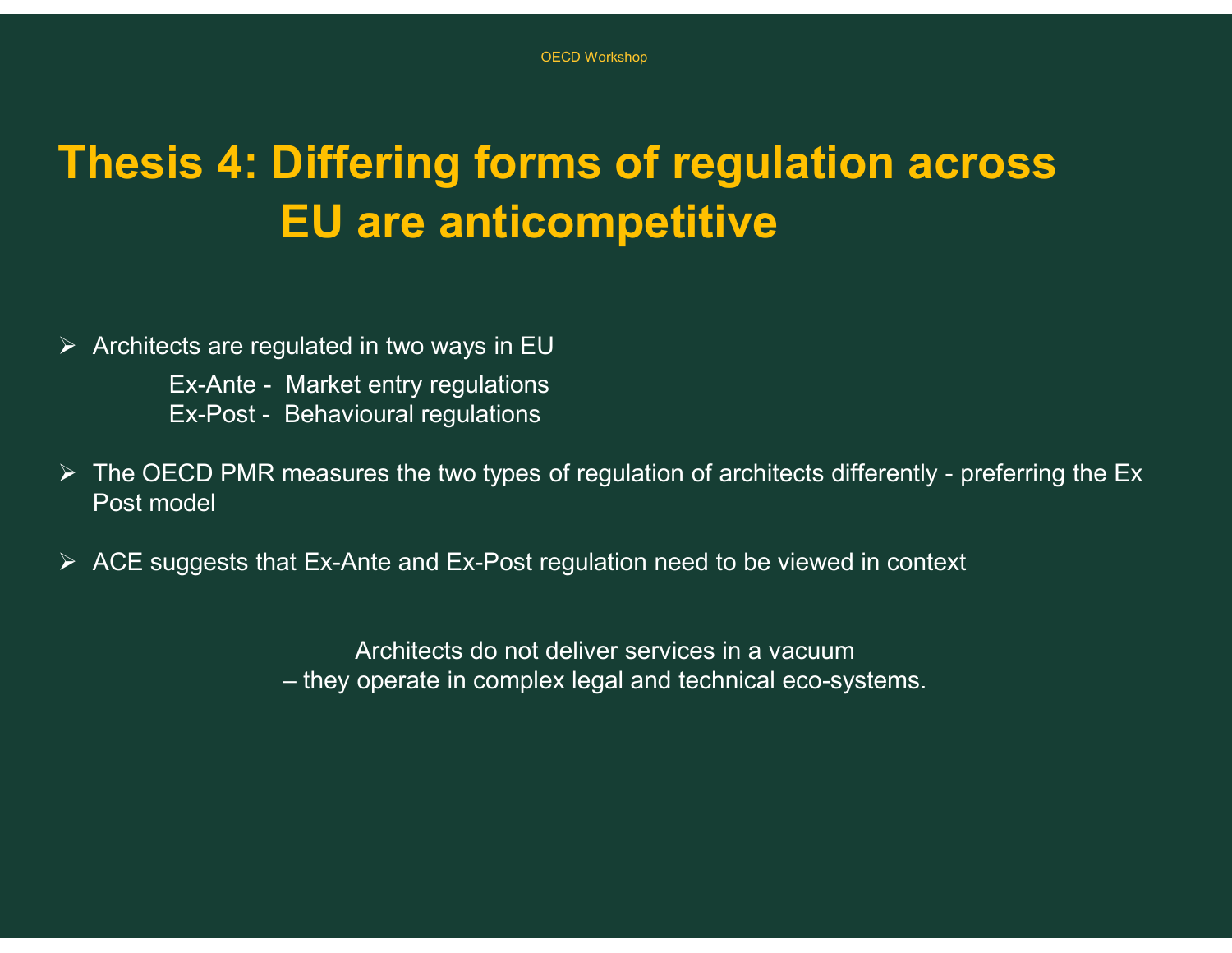# Thesis 4: Differing forms of regulation across EU are anticompetitive OECD Workshop<br> **EX-Ante - Anter anticompetitive**<br> **EX-Ante - Market entry regulations**<br>
EX-Ante - Market entry regulations<br>
EX-Post - Behavioural regulations<br>
ECD PMR measures the two types of regulation of archite OECD Workshop<br> **EX-POSE - BECAVE SET - BEFORE 2014**<br> **EX-Ante - Market entry regulations**<br>
EX-Post - Behavioural regulations<br>
ECD PMR measures the two types of regulation of archite<br>
DEX-Post - Behavioural regulations The Sis 4: Differing forms of regulation across<br>
EU are anticompetitive<br>
EV Architects are regulated in two ways in EU<br>
Ex-Post - Behavioural regulations<br>
FREPOST - Behavioural regulations<br>
FREPOST measures the two types o

 $\triangleright$  Architects are regulated in two ways in EU

- Post model ulated in two ways in EU<br>Market entry regulations<br>Behavioural regulations<br>measures the two types of regulation of architects differently - preferring<br>at Ex-Ante and Ex-Post regulation need to be viewed in context<br>Architect
- $\triangleright$  ACE suggests that Ex-Ante and Ex-Post regulation need to be viewed in context

Architects do not deliver services in a vacuum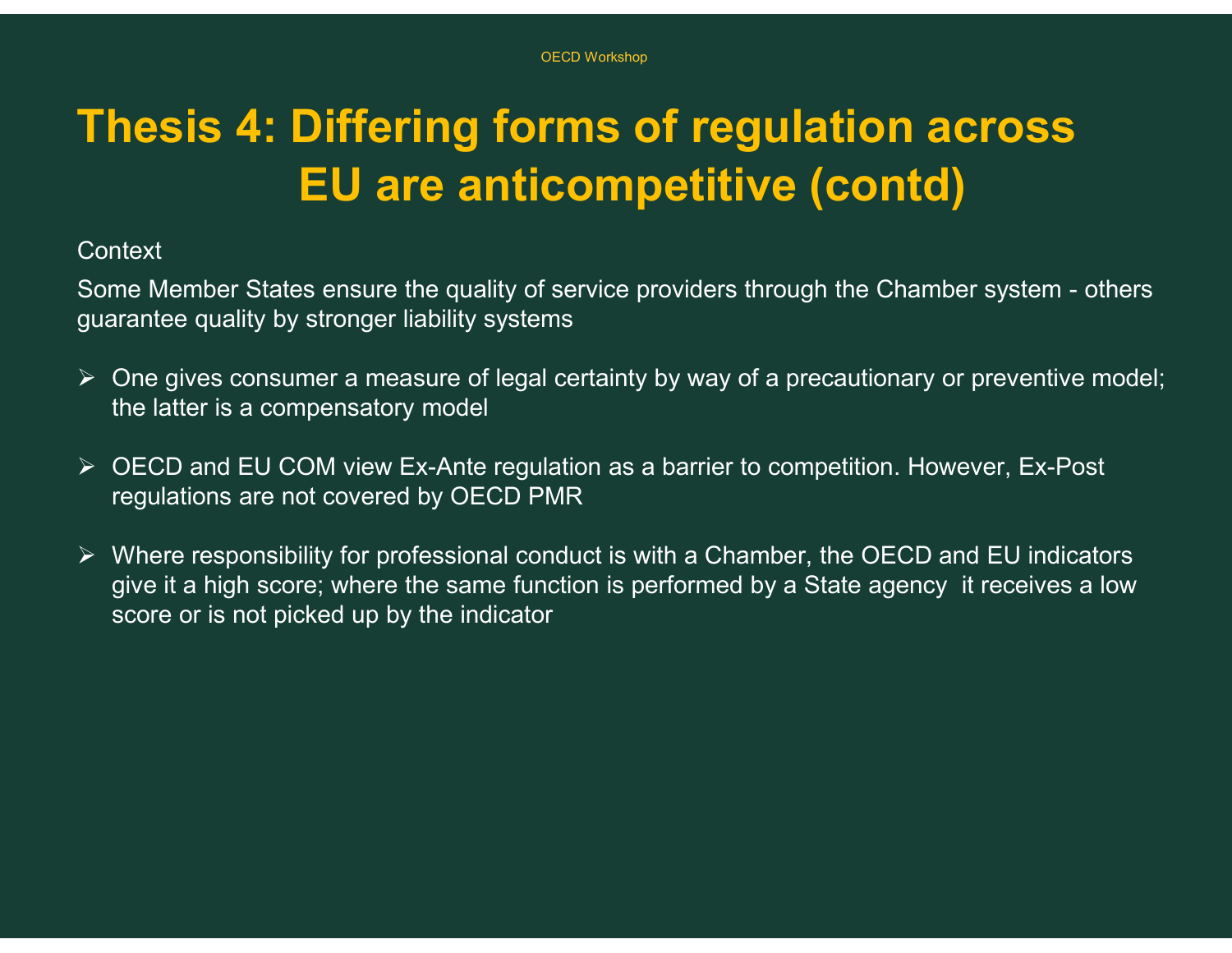# Thesis 4: Differing forms of regulation across EU are anticompetitive (contd) Soco Workshop<br>
Soco Workshop<br>
EU are anticompetitive (contd)<br>
Context<br>
Some Member States ensure the quality of service providers through the Chamber system - others<br>  $\triangleright$  One gives consumer a measure of legal certainty

#### **Context**

guarantee quality by stronger liability systems

- $\triangleright$  One gives consumer a measure of legal certainty by way of a precautionary or preventive model; the latter is a compensatory model
- OECD and EU COM view Ex-Ante regulation as a barrier to competition. However, Ex-Post regulations are not covered by OECD PMR
- $\triangleright$  Where responsibility for professional conduct is with a Chamber, the OECD and EU indicators give it a high score; where the same function is performed by a State agency it receives a low score or is not picked up by the indicator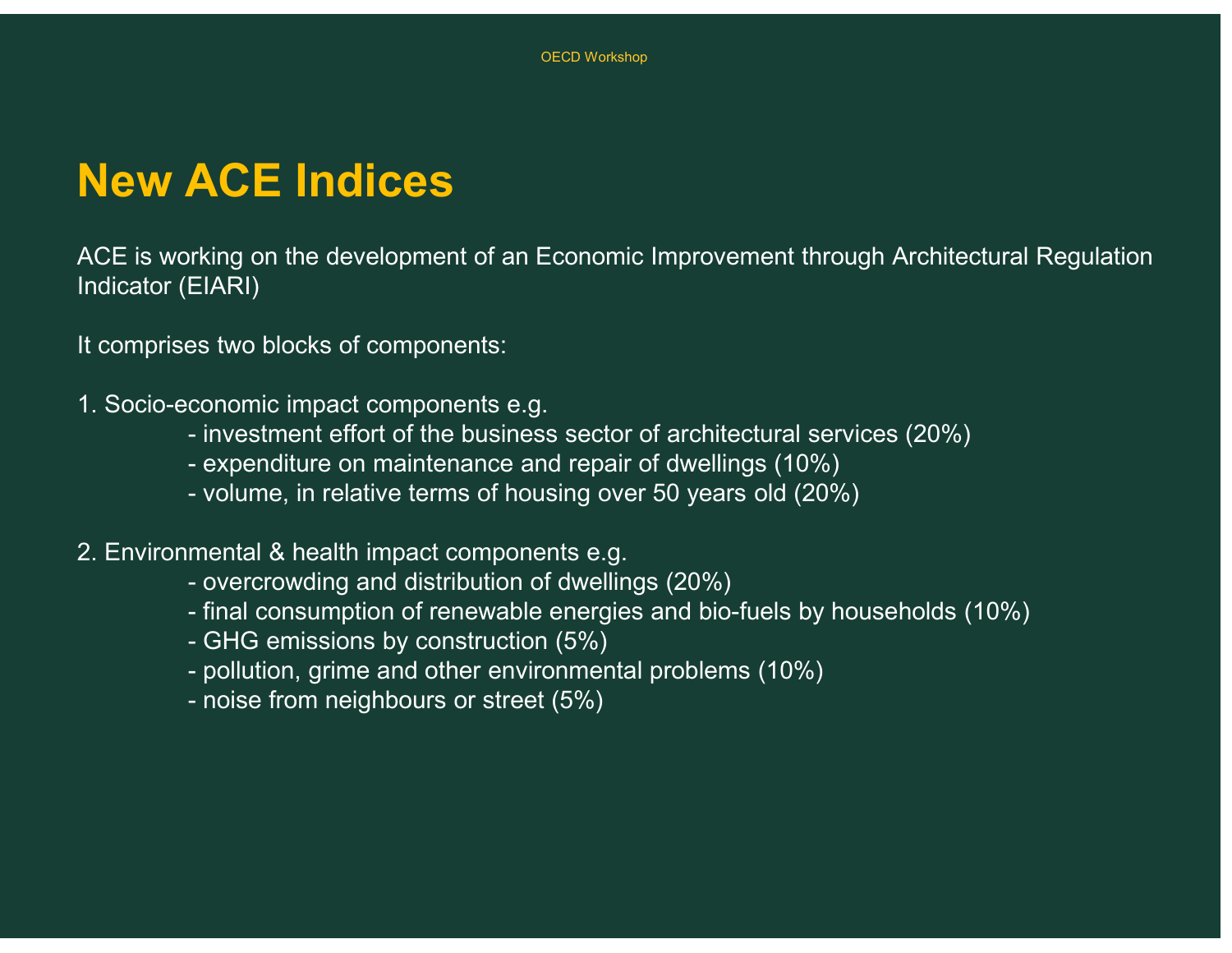#### New ACE Indices

ACE is working on the development of an Economic Improvement through Architectural Regulation Indicator (EIARI) CE Indices<br>- investment efforts of an Economic Improvement through Architectural Regulation<br>EIARI)<br>- investment effort of the business sector of architectural services (20%)<br>- investment effort of the business sector of ar ACE Indices<br>Fixing on the development of an Economic Improvement through Architecture<br>EIARI)<br>es two blocks of components:<br>conomic impact components e.g.<br>investment effort of the business sector of architectural services (2 **ACE Indices**<br>
Fixing on the development of an Economic Improvement through Architectura<br>
EIARI)<br>
Se two blocks of components e.g.<br>
- investment effort of the business sector of architectural services (20%)<br>
- expenditure AULTIMUCES<br>Final of the development of an Economic Improvement through<br>EIARI)<br>es two blocks of components:<br>conomic impact components e.g.<br>investment effort of the business sector of architectural services<br>expenditure on ma rking on the development of an Economic Improvement through Architectural Regulation<br>EIARI)<br>se two blocks of components:<br>conomic impact components e.g.<br>- investment effort of the business sector of architectural services ( rking on the development of an Economic Improveme<br>EIARI)<br>es two blocks of components:<br>conomic impact components e.g.<br>- investment effort of the business sector of architect<br>- expenditure on maintenance and repair of dwelli EIARI)<br>
es two blocks of components:<br>
conomic impact components e.g.<br>
- investment effort of the business sector of architectural services (20%)<br>
- expenditure on maintenance and repair of dwellings (10%)<br>
- volume, in rel

It comprises two blocks of components:

1. Socio-economic impact components e.g.

- 
- 
- 
- 2. Environmental & health impact components e.g.
	-
	-
	-
- es two blocks of components:<br>
conomic impact components e.g.<br>
 investment effort of the business sector of architect<br>
 expenditure on maintenance and repair of dwellings<br>
 volume, in relative terms of housing over 50 ye
	-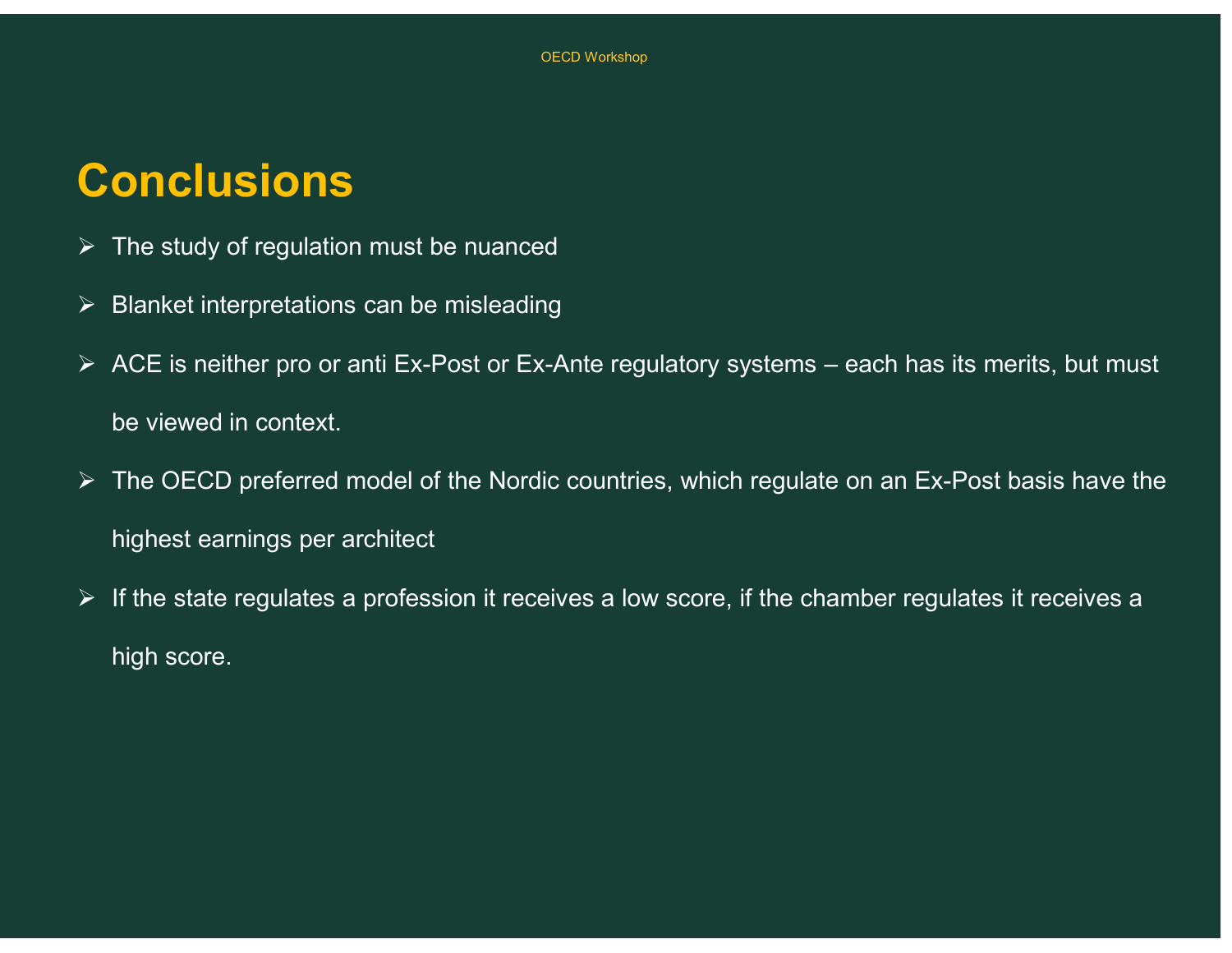#### **Conclusions**

- $\triangleright$  The study of regulation must be nuanced
- $\triangleright$  Blanket interpretations can be misleading
- CONC USIONS<br>
→ The study of regulation must be nuanced<br>
→ Blanket interpretations can be misleading<br>
→ ACE is neither pro or anti Ex-Post or Ex-Ante regulatory systems each has its merits, but must<br>
be viewed in context be viewed in context.
- $\triangleright$  The OECD preferred model of the Nordic countries, which regulate on an Ex-Post basis have the highest earnings per architect
- $\triangleright$  If the state regulates a profession it receives a low score, if the chamber regulates it receives a high score.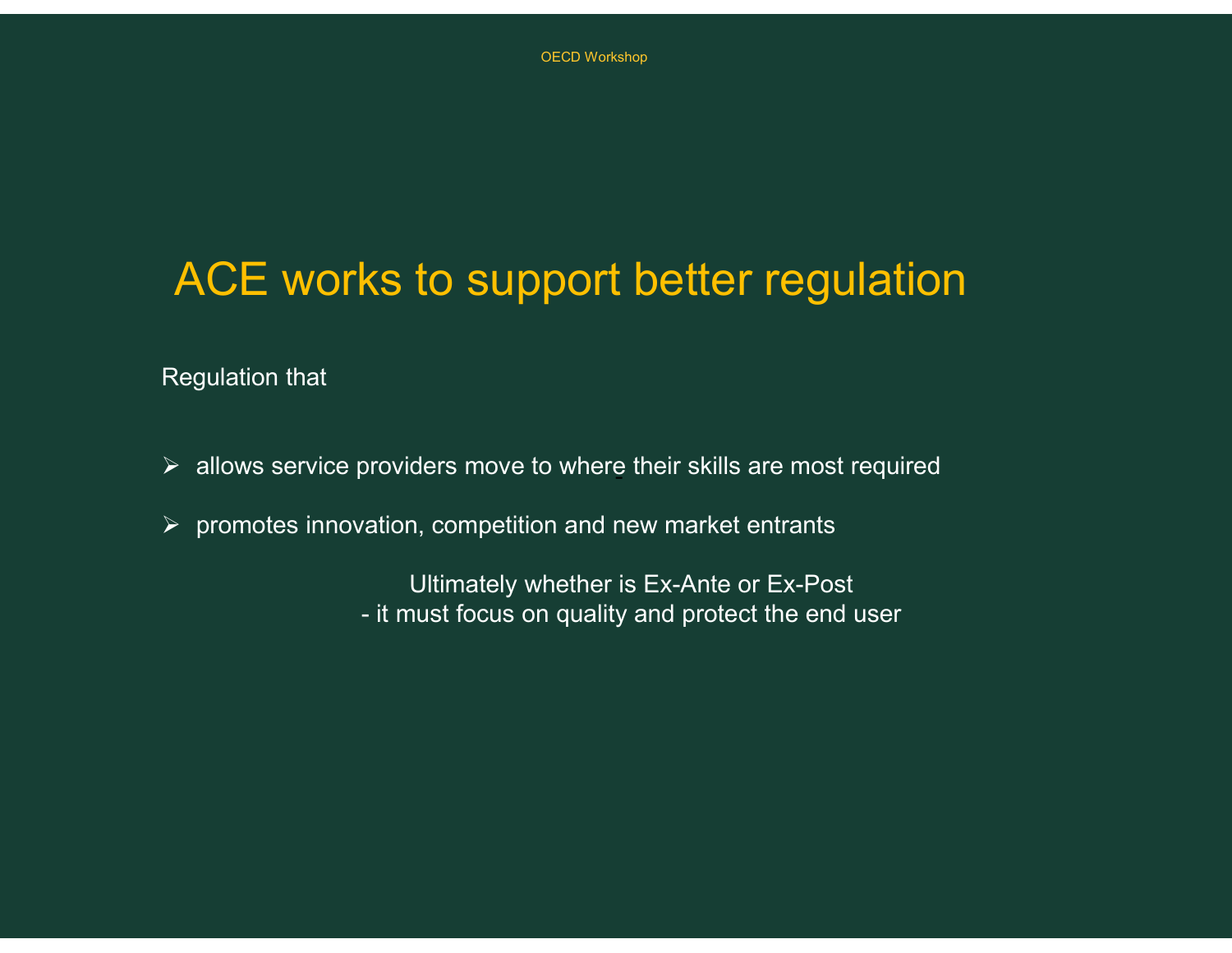# ACE works to support better regulation ks to support better regulation<br>providers move to where their skills are most required<br>ration, competition and new market entrants<br>Ultimately whether is Ex-Ante or Ex-Post<br>- it must focus on quality and protect the end use

Regulation that

- $\triangleright$  allows service providers move to where their skills are most required
- $\triangleright$  promotes innovation, competition and new market entrants

Ultimately whether is Ex-Ante or Ex-Post